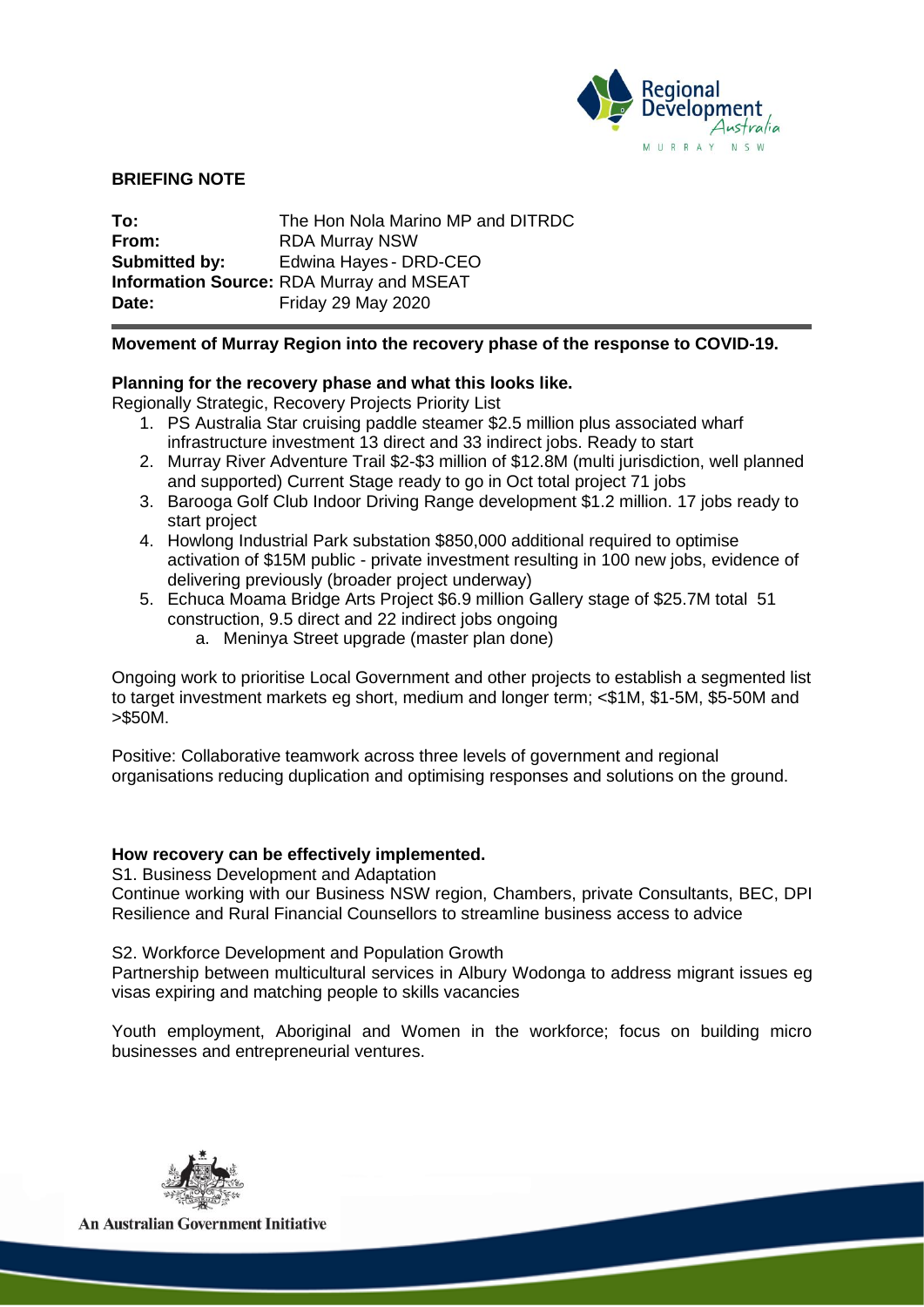

### **BRIEFING NOTE**

**To:** The Hon Nola Marino MP and DITRDC **From:** RDA Murray NSW **Submitted by:** Edwina Hayes - DRD-CEO **Information Source:** RDA Murray and MSEAT **Date:** Friday 29 May 2020

### **Movement of Murray Region into the recovery phase of the response to COVID-19.**

### **Planning for the recovery phase and what this looks like.**

Regionally Strategic, Recovery Projects Priority List

- 1. PS Australia Star cruising paddle steamer \$2.5 million plus associated wharf infrastructure investment 13 direct and 33 indirect jobs. Ready to start
- 2. Murray River Adventure Trail \$2-\$3 million of \$12.8M (multi jurisdiction, well planned and supported) Current Stage ready to go in Oct total project 71 jobs
- 3. Barooga Golf Club Indoor Driving Range development \$1.2 million. 17 jobs ready to start project
- 4. Howlong Industrial Park substation \$850,000 additional required to optimise activation of \$15M public - private investment resulting in 100 new jobs, evidence of delivering previously (broader project underway)
- 5. Echuca Moama Bridge Arts Project \$6.9 million Gallery stage of \$25.7M total 51 construction, 9.5 direct and 22 indirect jobs ongoing
	- a. Meninya Street upgrade (master plan done)

Ongoing work to prioritise Local Government and other projects to establish a segmented list to target investment markets eg short, medium and longer term; <\$1M, \$1-5M, \$5-50M and >\$50M.

Positive: Collaborative teamwork across three levels of government and regional organisations reducing duplication and optimising responses and solutions on the ground.

# **How recovery can be effectively implemented.**

S1. Business Development and Adaptation

Continue working with our Business NSW region, Chambers, private Consultants, BEC, DPI Resilience and Rural Financial Counsellors to streamline business access to advice

S2. Workforce Development and Population Growth

Partnership between multicultural services in Albury Wodonga to address migrant issues eg visas expiring and matching people to skills vacancies

Youth employment, Aboriginal and Women in the workforce; focus on building micro businesses and entrepreneurial ventures.



**An Australian Government Initiative**